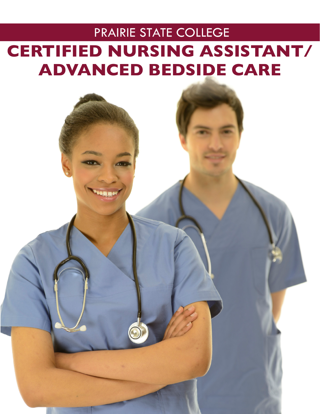# PRAIRIE STATE COLLEGE **CERTIFIED NURSING ASSISTANT/ ADVANCED BEDSIDE CARE**

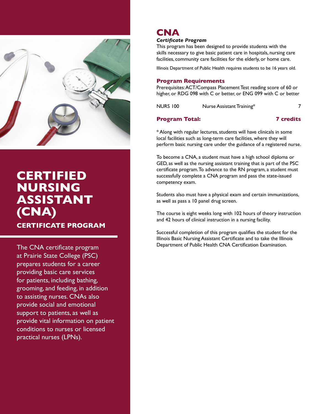

### **CERTIFIED NURSING ASSISTANT (CNA)**

**CERTIFICATE PROGRAM**

The CNA certificate program at Prairie State College (PSC) prepares students for a career providing basic care services for patients, including bathing, grooming, and feeding, in addition to assisting nurses. CNAs also provide social and emotional support to patients, as well as provide vital information on patient conditions to nurses or licensed practical nurses (LPNs).

### **CNA**

### *Certificate Program*

This program has been designed to provide students with the skills necessary to give basic patient care in hospitals, nursing care facilities, community care facilities for the elderly, or home care.

Illinois Department of Public Health requires students to be 16 years old.

#### **Program Requirements**

Prerequisites: ACT/Compass Placement Test reading score of 60 or higher, or RDG 098 with C or better, or ENG 099 with C or better

NURS 100 Nurse Assistant Training\* 7

### **Program Total: 7 credits**

\* Along with regular lectures, students will have clinicals in some local facilities such as long-term care facilities, where they will perform basic nursing care under the guidance of a registered nurse.

To become a CNA, a student must have a high school diploma or GED, as well as the nursing assistant training that is part of the PSC certificate program. To advance to the RN program, a student must successfully complete a CNA program and pass the state-issued competency exam.

Students also must have a physical exam and certain immunizations, as well as pass a 10 panel drug screen.

The course is eight weeks long with 102 hours of theory instruction and 42 hours of clinical instruction in a nursing facility.

Successful completion of this program qualifies the student for the Illinois Basic Nursing Assistant Certificate and to take the Illinois Department of Public Health CNA Certification Examination.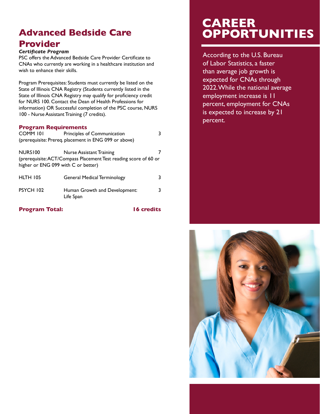### **Advanced Bedside Care Provider**

#### *Certificate Program*

PSC offers the Advanced Bedside Care Provider Certificate to CNAs who currently are working in a healthcare institution and wish to enhance their skills.

Program Prerequisites: Students must currently be listed on the State of Illinois CNA Registry (Students currently listed in the State of Illinois CNA Registry may qualify for proficiency credit for NURS 100. Contact the Dean of Health Professions for information) OR Successful completion of the PSC course, NURS 100 - Nurse Assistant Training (7 credits).

### **Program Requirements**

| COMM <sub>101</sub>                                                                                     | Principles of Communication                |   |
|---------------------------------------------------------------------------------------------------------|--------------------------------------------|---|
| (prerequisite: Prereq. placement in ENG 099 or above)                                                   |                                            |   |
| NURS <sub>100</sub>                                                                                     | Nurse Assistant Training                   |   |
| (prerequisite: ACT/Compass Placement Test reading score of 60 or<br>higher or ENG 099 with C or better) |                                            |   |
| <b>HLTH 105</b>                                                                                         | <b>General Medical Terminology</b>         |   |
| PSYCH 102                                                                                               | Human Growth and Development:<br>Life Span | 3 |

### **Program Total:** 16 credits

### **CAREER OPPORTUNITIES**

According to the U.S. Bureau of Labor Statistics, a faster than average job growth is expected for CNAs through 2022. While the national average employment increase is 11 percent, employment for CNAs is expected to increase by 21 percent.